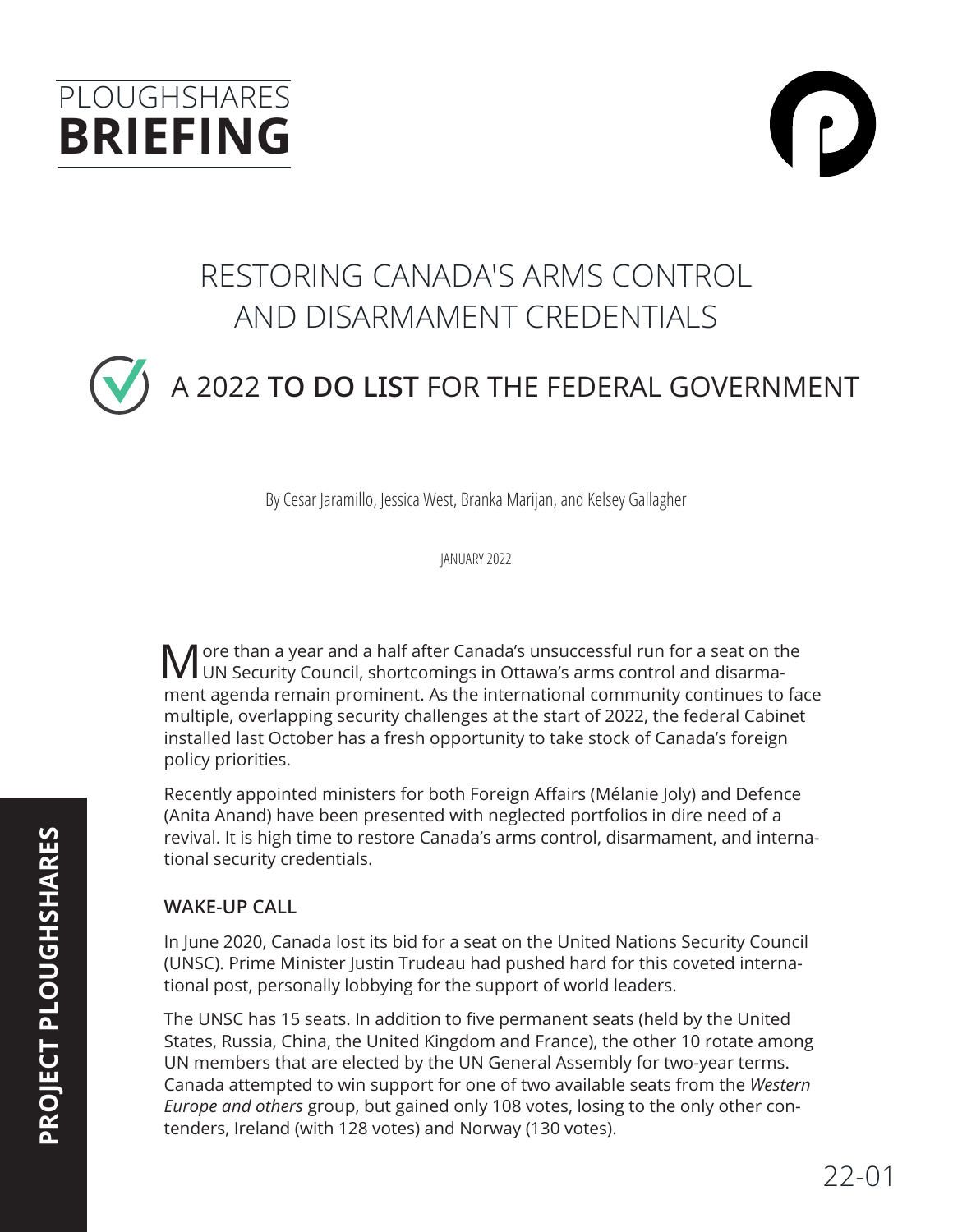## **PLOUGHSHARES BRIEFING**



## RESTORING CANADA'S ARMS CONTROL AND DISARMAMENT CREDENTIALS

# A 2022 **TO DO LIST** FOR THE FEDERAL GOVERNMENT

By Cesar Jaramillo, Jessica West, Branka Marijan, and Kelsey Gallagher

JANUARY 2022

More than a year and a half after Canada's unsuccessful run for a seat on the UN Security Council, shortcomings in Ottawa's arms control and disarmament agenda remain prominent. As the international community continues to face multiple, overlapping security challenges at the start of 2022, the federal Cabinet installed last October has a fresh opportunity to take stock of Canada's foreign policy priorities.

Recently appointed ministers for both Foreign Affairs (Mélanie Joly) and Defence (Anita Anand) have been presented with neglected portfolios in dire need of a revival. It is high time to restore Canada's arms control, disarmament, and international security credentials.

### **WAKE-UP CALL**

In June 2020, Canada lost its bid for a seat on the United Nations Security Council (UNSC). Prime Minister Justin Trudeau had pushed hard for this coveted international post, personally lobbying for the support of world leaders.

The UNSC has 15 seats. In addition to five permanent seats (held by the United States, Russia, China, the United Kingdom and France), the other 10 rotate among UN members that are elected by the UN General Assembly for two-year terms. Canada attempted to win support for one of two available seats from the *Western Europe and others* group, but gained only 108 votes, losing to the only other contenders, Ireland (with 128 votes) and Norway (130 votes).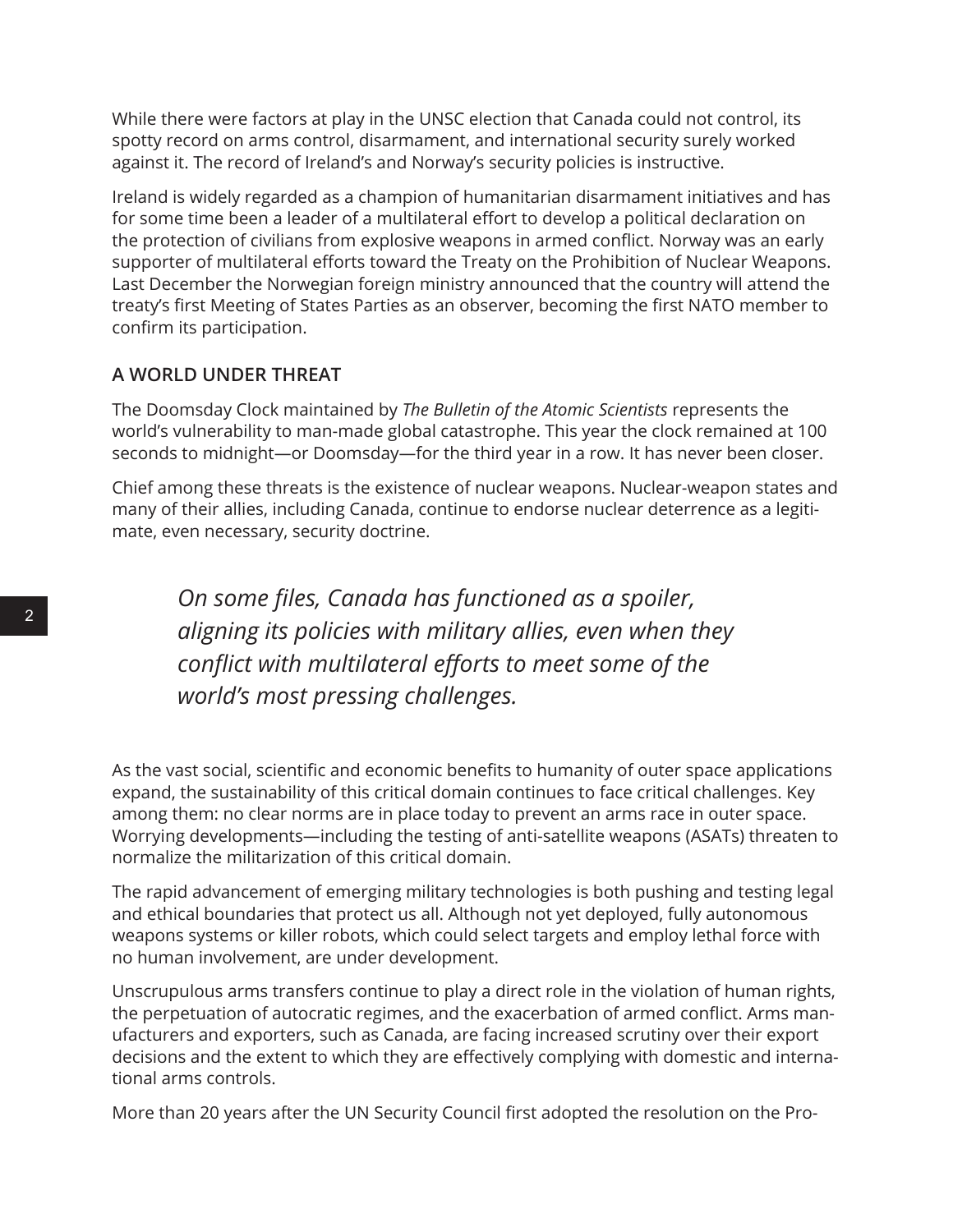While there were factors at play in the UNSC election that Canada could not control, its spotty record on arms control, disarmament, and international security surely worked against it. The record of Ireland's and Norway's security policies is instructive.

Ireland is widely regarded as a champion of humanitarian disarmament initiatives and has for some time been a leader of a multilateral effort to develop a political declaration on the protection of civilians from explosive weapons in armed conflict. Norway was an early supporter of multilateral efforts toward the Treaty on the Prohibition of Nuclear Weapons. Last December the Norwegian foreign ministry announced that the country will attend the treaty's first Meeting of States Parties as an observer, becoming the first NATO member to confirm its participation.

### **A WORLD UNDER THREAT**

The Doomsday Clock maintained by *The Bulletin of the Atomic Scientists* represents the world's vulnerability to man-made global catastrophe. This year the clock remained at 100 seconds to midnight—or Doomsday—for the third year in a row. It has never been closer.

Chief among these threats is the existence of nuclear weapons. Nuclear-weapon states and many of their allies, including Canada, continue to endorse nuclear deterrence as a legitimate, even necessary, security doctrine.

*On some files, Canada has functioned as a spoiler, aligning its policies with military allies, even when they conflict with multilateral efforts to meet some of the world's most pressing challenges.* 

As the vast social, scientific and economic benefits to humanity of outer space applications expand, the sustainability of this critical domain continues to face critical challenges. Key among them: no clear norms are in place today to prevent an arms race in outer space. Worrying developments—including the testing of anti-satellite weapons (ASATs) threaten to normalize the militarization of this critical domain.

The rapid advancement of emerging military technologies is both pushing and testing legal and ethical boundaries that protect us all. Although not yet deployed, fully autonomous weapons systems or killer robots, which could select targets and employ lethal force with no human involvement, are under development.

Unscrupulous arms transfers continue to play a direct role in the violation of human rights, the perpetuation of autocratic regimes, and the exacerbation of armed conflict. Arms manufacturers and exporters, such as Canada, are facing increased scrutiny over their export decisions and the extent to which they are effectively complying with domestic and international arms controls.

More than 20 years after the UN Security Council first adopted the resolution on the Pro-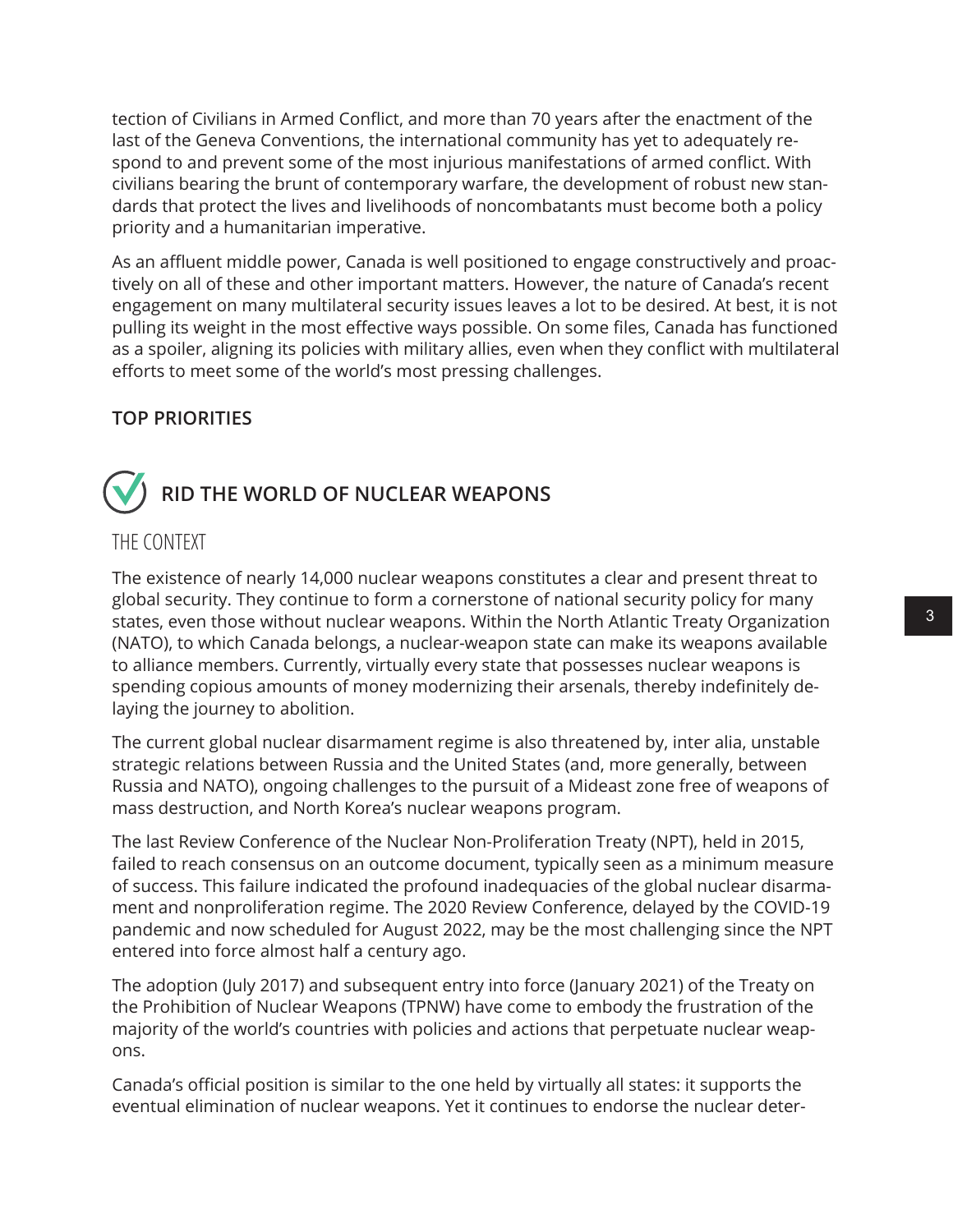tection of Civilians in Armed Conflict, and more than 70 years after the enactment of the last of the Geneva Conventions, the international community has yet to adequately respond to and prevent some of the most injurious manifestations of armed conflict. With civilians bearing the brunt of contemporary warfare, the development of robust new standards that protect the lives and livelihoods of noncombatants must become both a policy priority and a humanitarian imperative.

As an affluent middle power, Canada is well positioned to engage constructively and proactively on all of these and other important matters. However, the nature of Canada's recent engagement on many multilateral security issues leaves a lot to be desired. At best, it is not pulling its weight in the most effective ways possible. On some files, Canada has functioned as a spoiler, aligning its policies with military allies, even when they conflict with multilateral efforts to meet some of the world's most pressing challenges.

### **TOP PRIORITIES**



### THE CONTEXT

The existence of nearly 14,000 nuclear weapons constitutes a clear and present threat to global security. They continue to form a cornerstone of national security policy for many states, even those without nuclear weapons. Within the North Atlantic Treaty Organization (NATO), to which Canada belongs, a nuclear-weapon state can make its weapons available to alliance members. Currently, virtually every state that possesses nuclear weapons is spending copious amounts of money modernizing their arsenals, thereby indefinitely delaying the journey to abolition.

The current global nuclear disarmament regime is also threatened by, inter alia, unstable strategic relations between Russia and the United States (and, more generally, between Russia and NATO), ongoing challenges to the pursuit of a Mideast zone free of weapons of mass destruction, and North Korea's nuclear weapons program.

The last Review Conference of the Nuclear Non-Proliferation Treaty (NPT), held in 2015, failed to reach consensus on an outcome document, typically seen as a minimum measure of success. This failure indicated the profound inadequacies of the global nuclear disarmament and nonproliferation regime. The 2020 Review Conference, delayed by the COVID-19 pandemic and now scheduled for August 2022, may be the most challenging since the NPT entered into force almost half a century ago.

The adoption (July 2017) and subsequent entry into force (January 2021) of the Treaty on the Prohibition of Nuclear Weapons (TPNW) have come to embody the frustration of the majority of the world's countries with policies and actions that perpetuate nuclear weapons.

Canada's official position is similar to the one held by virtually all states: it supports the eventual elimination of nuclear weapons. Yet it continues to endorse the nuclear deter-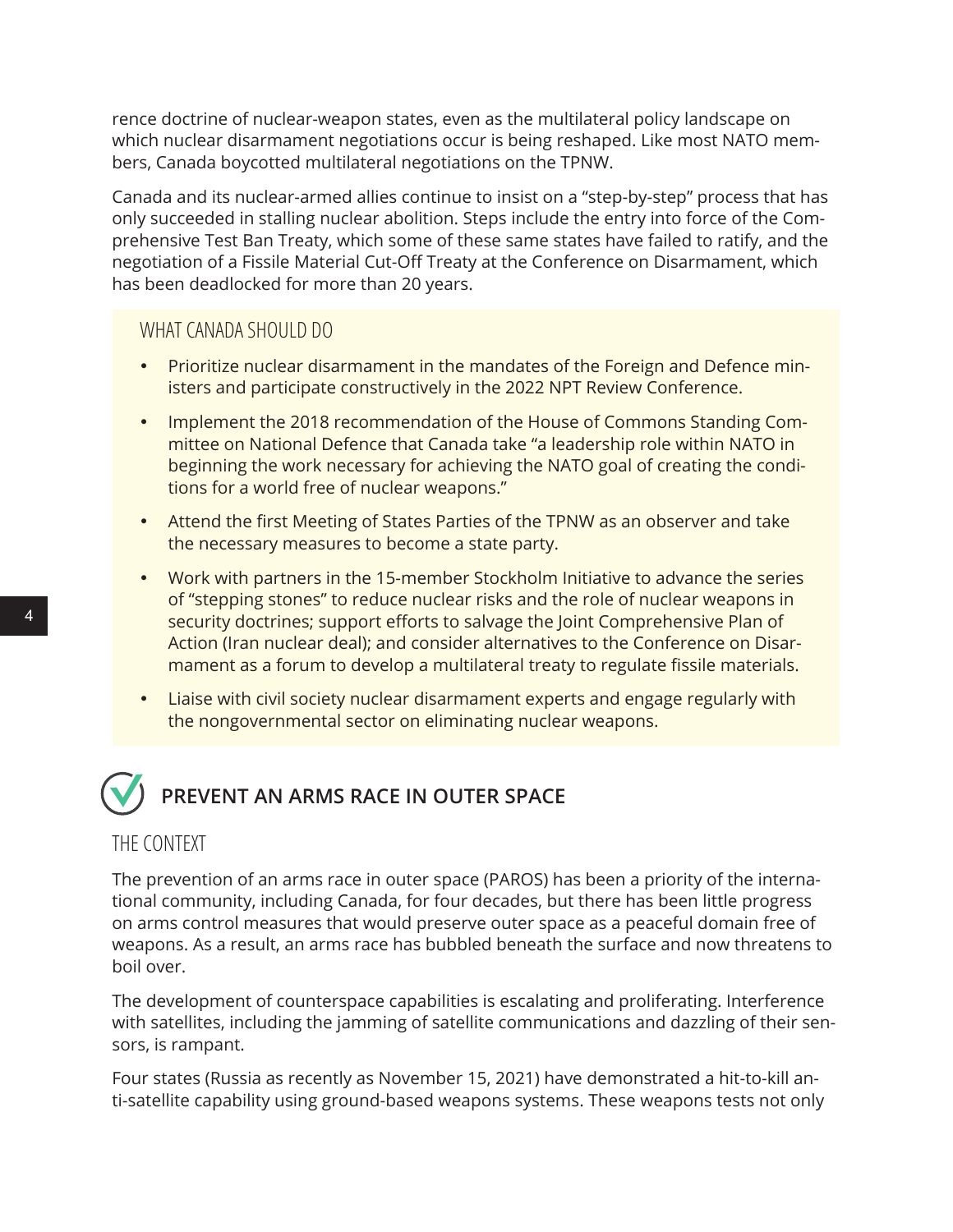rence doctrine of nuclear-weapon states, even as the multilateral policy landscape on which nuclear disarmament negotiations occur is being reshaped. Like most NATO members, Canada boycotted multilateral negotiations on the TPNW.

Canada and its nuclear-armed allies continue to insist on a "step-by-step" process that has only succeeded in stalling nuclear abolition. Steps include the entry into force of the Comprehensive Test Ban Treaty, which some of these same states have failed to ratify, and the negotiation of a Fissile Material Cut-Off Treaty at the Conference on Disarmament, which has been deadlocked for more than 20 years.

### WHAT CANADA SHOULD DO

- Prioritize nuclear disarmament in the mandates of the Foreign and Defence ministers and participate constructively in the 2022 NPT Review Conference.
- Implement the 2018 recommendation of the House of Commons Standing Committee on National Defence that Canada take "a leadership role within NATO in beginning the work necessary for achieving the NATO goal of creating the conditions for a world free of nuclear weapons."
- Attend the first Meeting of States Parties of the TPNW as an observer and take the necessary measures to become a state party.
- Work with partners in the 15-member Stockholm Initiative to advance the series of "stepping stones" to reduce nuclear risks and the role of nuclear weapons in security doctrines; support efforts to salvage the Joint Comprehensive Plan of Action (Iran nuclear deal); and consider alternatives to the Conference on Disarmament as a forum to develop a multilateral treaty to regulate fissile materials.
- Liaise with civil society nuclear disarmament experts and engage regularly with the nongovernmental sector on eliminating nuclear weapons.



### THE CONTEXT

The prevention of an arms race in outer space (PAROS) has been a priority of the international community, including Canada, for four decades, but there has been little progress on arms control measures that would preserve outer space as a peaceful domain free of weapons. As a result, an arms race has bubbled beneath the surface and now threatens to boil over.

The development of counterspace capabilities is escalating and proliferating. Interference with satellites, including the jamming of satellite communications and dazzling of their sensors, is rampant.

Four states (Russia as recently as November 15, 2021) have demonstrated a hit-to-kill anti-satellite capability using ground-based weapons systems. These weapons tests not only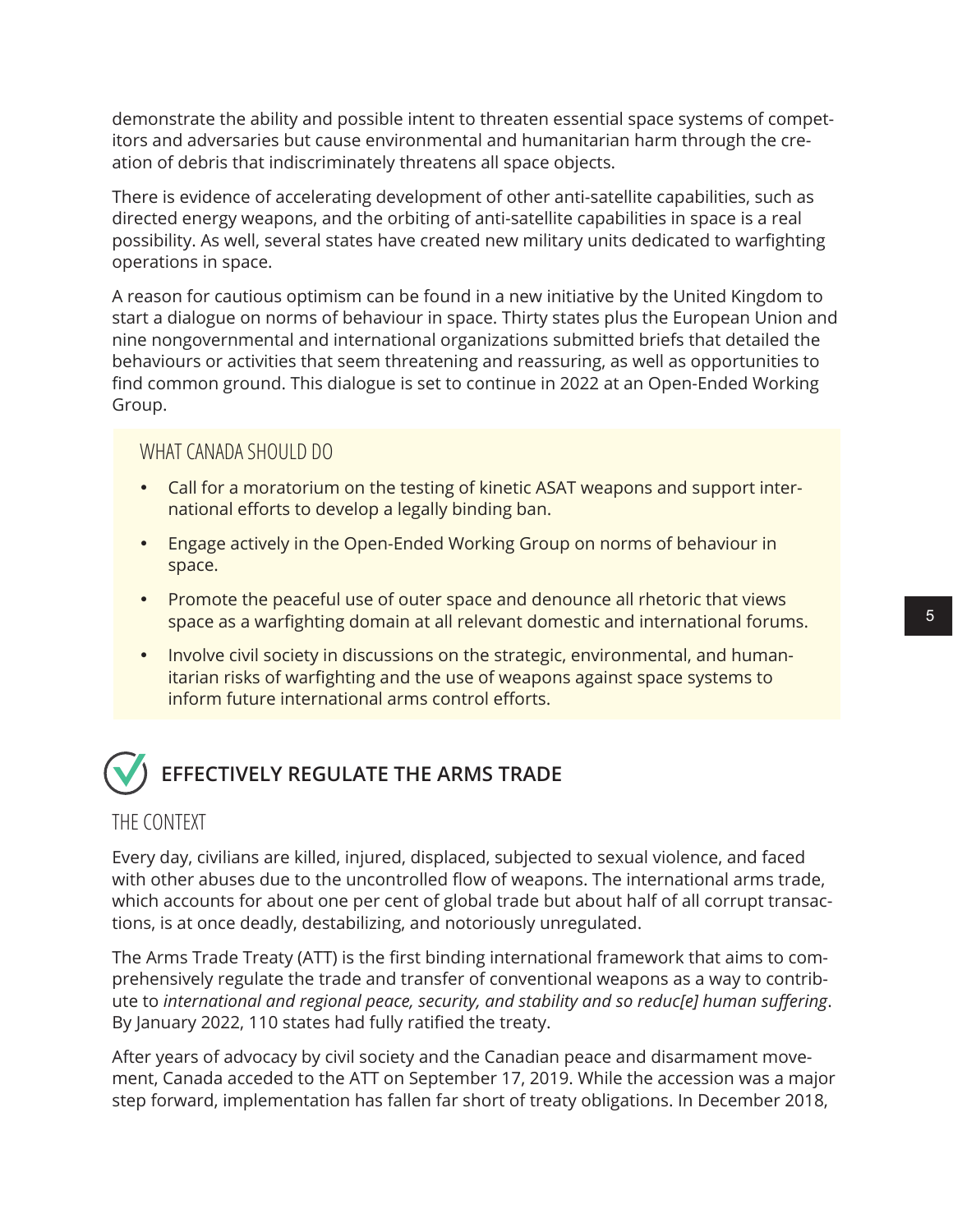demonstrate the ability and possible intent to threaten essential space systems of competitors and adversaries but cause environmental and humanitarian harm through the creation of debris that indiscriminately threatens all space objects.

There is evidence of accelerating development of other anti-satellite capabilities, such as directed energy weapons, and the orbiting of anti-satellite capabilities in space is a real possibility. As well, several states have created new military units dedicated to warfighting operations in space.

A reason for cautious optimism can be found in a new initiative by the United Kingdom to start a dialogue on norms of behaviour in space. Thirty states plus the European Union and nine nongovernmental and international organizations submitted briefs that detailed the behaviours or activities that seem threatening and reassuring, as well as opportunities to find common ground. This dialogue is set to continue in 2022 at an Open-Ended Working Group.

### WHAT CANADA SHOULD DO

- Call for a moratorium on the testing of kinetic ASAT weapons and support international efforts to develop a legally binding ban.
- Engage actively in the Open-Ended Working Group on norms of behaviour in space.
- Promote the peaceful use of outer space and denounce all rhetoric that views space as a warfighting domain at all relevant domestic and international forums.
- Involve civil society in discussions on the strategic, environmental, and humanitarian risks of warfighting and the use of weapons against space systems to inform future international arms control efforts.

# **EFFECTIVELY REGULATE THE ARMS TRADE**

### THE CONTEXT

Every day, civilians are killed, injured, displaced, subjected to sexual violence, and faced with other abuses due to the uncontrolled flow of weapons. The international arms trade, which accounts for about one per cent of global trade but about half of all corrupt transactions, is at once deadly, destabilizing, and notoriously unregulated.

The Arms Trade Treaty (ATT) is the first binding international framework that aims to comprehensively regulate the trade and transfer of conventional weapons as a way to contribute to *international and regional peace, security, and stability and so reduc[e] human suffering*. By January 2022, 110 states had fully ratified the treaty.

After years of advocacy by civil society and the Canadian peace and disarmament movement, Canada acceded to the ATT on September 17, 2019. While the accession was a major step forward, implementation has fallen far short of treaty obligations. In December 2018,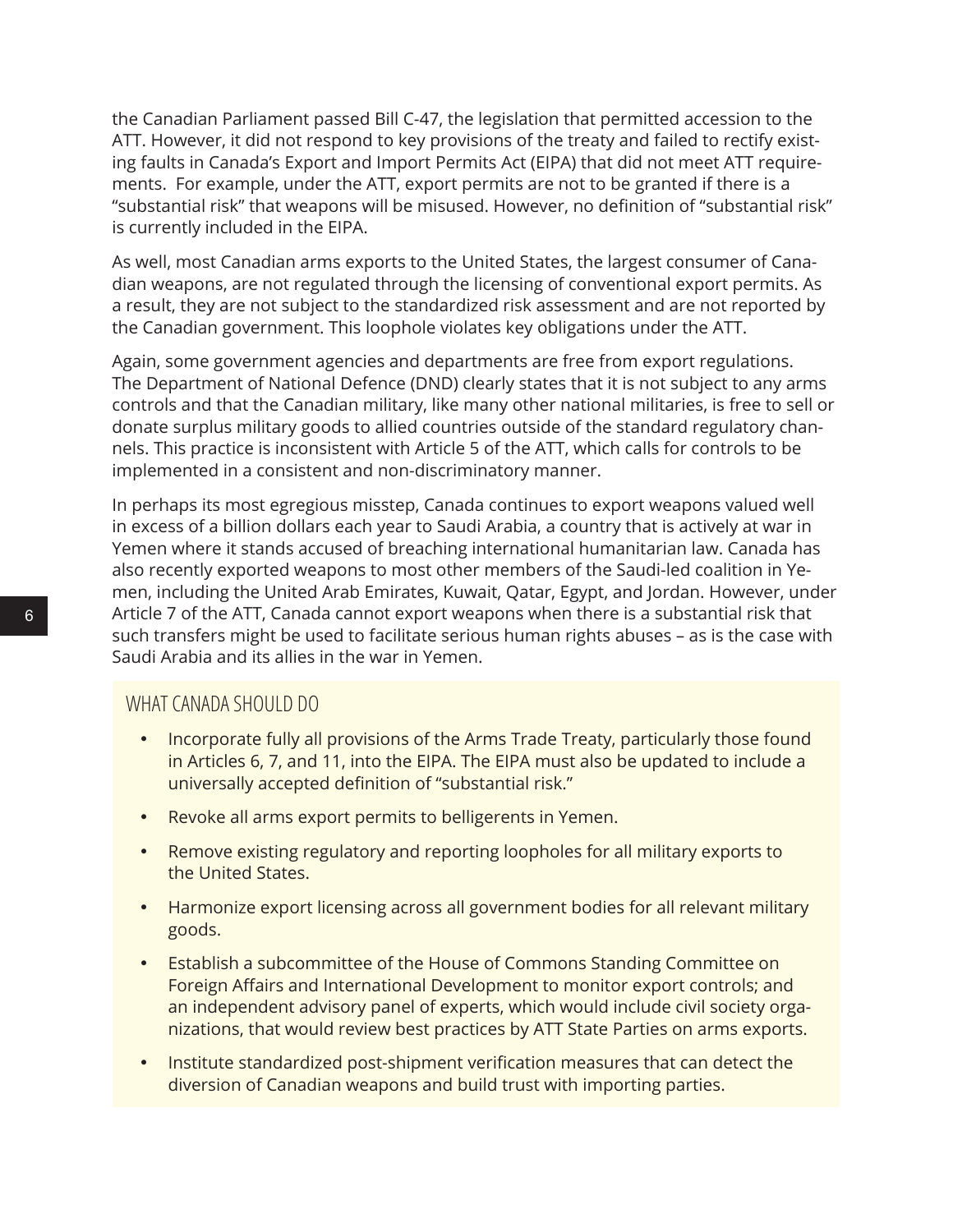the Canadian Parliament passed Bill C-47, the legislation that permitted accession to the ATT. However, it did not respond to key provisions of the treaty and failed to rectify existing faults in Canada's Export and Import Permits Act (EIPA) that did not meet ATT requirements. For example, under the ATT, export permits are not to be granted if there is a "substantial risk" that weapons will be misused. However, no definition of "substantial risk" is currently included in the EIPA.

As well, most Canadian arms exports to the United States, the largest consumer of Canadian weapons, are not regulated through the licensing of conventional export permits. As a result, they are not subject to the standardized risk assessment and are not reported by the Canadian government. This loophole violates key obligations under the ATT.

Again, some government agencies and departments are free from export regulations. The Department of National Defence (DND) clearly states that it is not subject to any arms controls and that the Canadian military, like many other national militaries, is free to sell or donate surplus military goods to allied countries outside of the standard regulatory channels. This practice is inconsistent with Article 5 of the ATT, which calls for controls to be implemented in a consistent and non-discriminatory manner.

In perhaps its most egregious misstep, Canada continues to export weapons valued well in excess of a billion dollars each year to Saudi Arabia, a country that is actively at war in Yemen where it stands accused of breaching international humanitarian law. Canada has also recently exported weapons to most other members of the Saudi-led coalition in Yemen, including the United Arab Emirates, Kuwait, Qatar, Egypt, and Jordan. However, under Article 7 of the ATT, Canada cannot export weapons when there is a substantial risk that such transfers might be used to facilitate serious human rights abuses – as is the case with Saudi Arabia and its allies in the war in Yemen.

### WHAT CANADA SHOULD DO

- Incorporate fully all provisions of the Arms Trade Treaty, particularly those found in Articles 6, 7, and 11, into the EIPA. The EIPA must also be updated to include a universally accepted definition of "substantial risk."
- Revoke all arms export permits to belligerents in Yemen.
- Remove existing regulatory and reporting loopholes for all military exports to the United States.
- Harmonize export licensing across all government bodies for all relevant military goods.
- Establish a subcommittee of the House of Commons Standing Committee on Foreign Affairs and International Development to monitor export controls; and an independent advisory panel of experts, which would include civil society organizations, that would review best practices by ATT State Parties on arms exports.
- Institute standardized post-shipment verification measures that can detect the diversion of Canadian weapons and build trust with importing parties.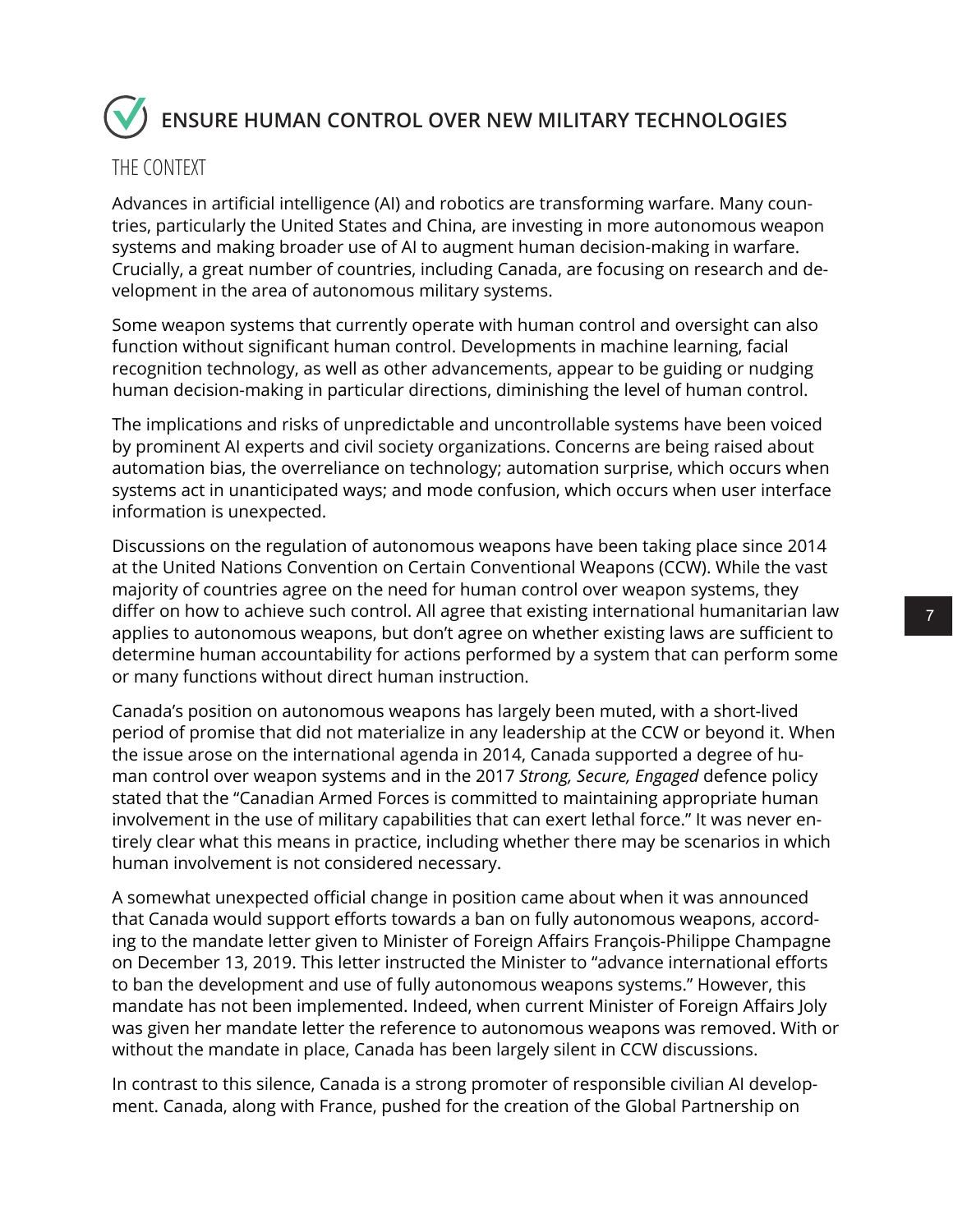# **ENSURE HUMAN CONTROL OVER NEW MILITARY TECHNOLOGIES**

### THE CONTEXT

Advances in artificial intelligence (AI) and robotics are transforming warfare. Many countries, particularly the United States and China, are investing in more autonomous weapon systems and making broader use of AI to augment human decision-making in warfare. Crucially, a great number of countries, including Canada, are focusing on research and development in the area of autonomous military systems.

Some weapon systems that currently operate with human control and oversight can also function without significant human control. Developments in machine learning, facial recognition technology, as well as other advancements, appear to be guiding or nudging human decision-making in particular directions, diminishing the level of human control.

The implications and risks of unpredictable and uncontrollable systems have been voiced by prominent AI experts and civil society organizations. Concerns are being raised about automation bias, the overreliance on technology; automation surprise, which occurs when systems act in unanticipated ways; and mode confusion, which occurs when user interface information is unexpected.

Discussions on the regulation of autonomous weapons have been taking place since 2014 at the United Nations Convention on Certain Conventional Weapons (CCW). While the vast majority of countries agree on the need for human control over weapon systems, they differ on how to achieve such control. All agree that existing international humanitarian law applies to autonomous weapons, but don't agree on whether existing laws are sufficient to determine human accountability for actions performed by a system that can perform some or many functions without direct human instruction.

Canada's position on autonomous weapons has largely been muted, with a short-lived period of promise that did not materialize in any leadership at the CCW or beyond it. When the issue arose on the international agenda in 2014, Canada supported a degree of human control over weapon systems and in the 2017 *Strong, Secure, Engaged* defence policy stated that the "Canadian Armed Forces is committed to maintaining appropriate human involvement in the use of military capabilities that can exert lethal force." It was never entirely clear what this means in practice, including whether there may be scenarios in which human involvement is not considered necessary.

A somewhat unexpected official change in position came about when it was announced that Canada would support efforts towards a ban on fully autonomous weapons, according to the mandate letter given to Minister of Foreign Affairs François-Philippe Champagne on December 13, 2019. This letter instructed the Minister to "advance international efforts to ban the development and use of fully autonomous weapons systems." However, this mandate has not been implemented. Indeed, when current Minister of Foreign Affairs Joly was given her mandate letter the reference to autonomous weapons was removed. With or without the mandate in place, Canada has been largely silent in CCW discussions.

In contrast to this silence, Canada is a strong promoter of responsible civilian AI development. Canada, along with France, pushed for the creation of the Global Partnership on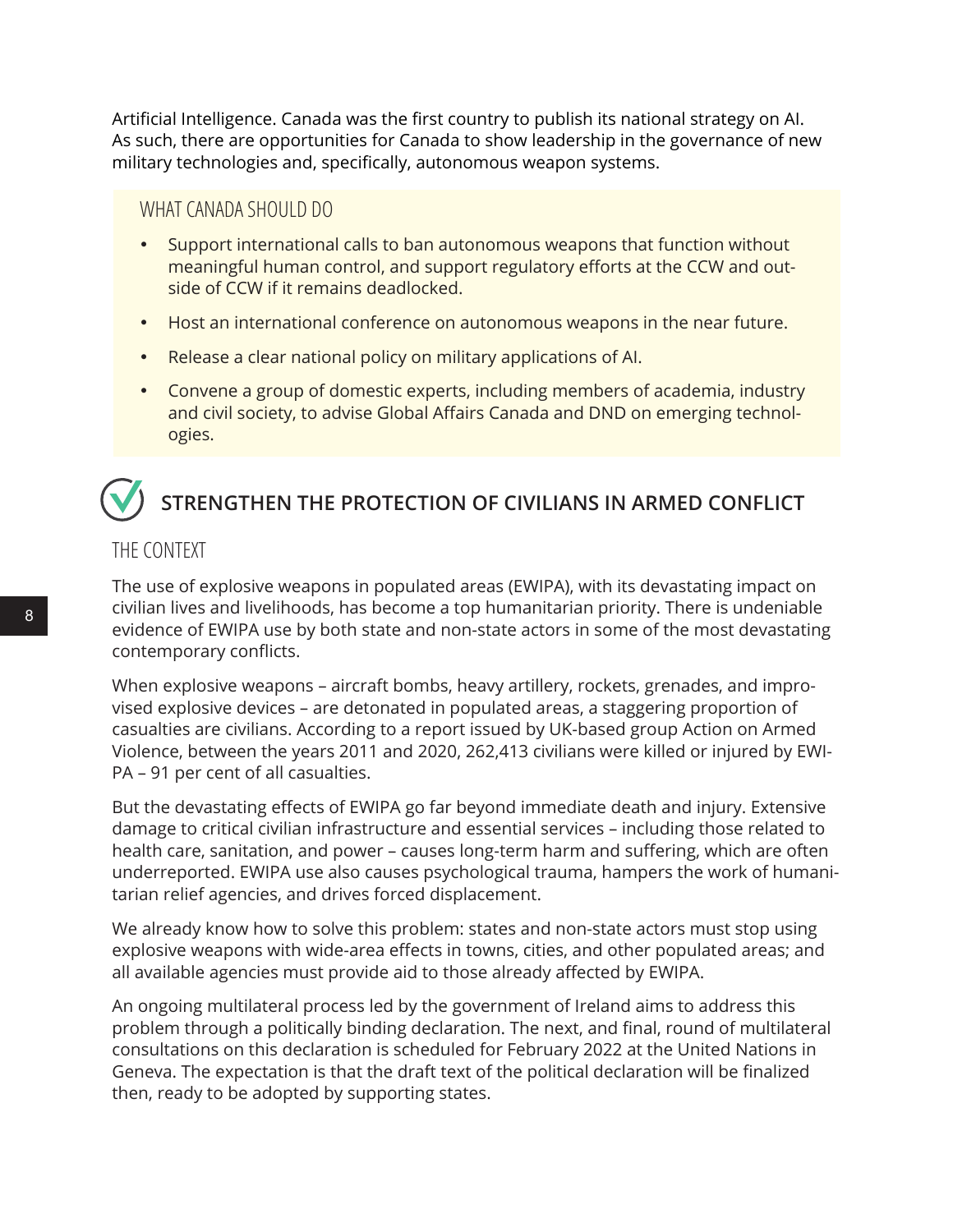Artificial Intelligence. Canada was the first country to publish its national strategy on AI. As such, there are opportunities for Canada to show leadership in the governance of new military technologies and, specifically, autonomous weapon systems.

WHAT CANADA SHOULD DO

- Support international calls to ban autonomous weapons that function without meaningful human control, and support regulatory efforts at the CCW and outside of CCW if it remains deadlocked.
- Host an international conference on autonomous weapons in the near future.
- Release a clear national policy on military applications of AI.
- Convene a group of domestic experts, including members of academia, industry and civil society, to advise Global Affairs Canada and DND on emerging technologies.

### **STRENGTHEN THE PROTECTION OF CIVILIANS IN ARMED CONFLICT**

### THE CONTEXT

The use of explosive weapons in populated areas (EWIPA), with its devastating impact on civilian lives and livelihoods, has become a top humanitarian priority. There is undeniable evidence of EWIPA use by both state and non-state actors in some of the most devastating contemporary conflicts.

When explosive weapons – aircraft bombs, heavy artillery, rockets, grenades, and improvised explosive devices – are detonated in populated areas, a staggering proportion of casualties are civilians. According to a report issued by UK-based group Action on Armed Violence, between the years 2011 and 2020, 262,413 civilians were killed or injured by EWI-PA – 91 per cent of all casualties.

But the devastating effects of EWIPA go far beyond immediate death and injury. Extensive damage to critical civilian infrastructure and essential services – including those related to health care, sanitation, and power – causes long-term harm and suffering, which are often underreported. EWIPA use also causes psychological trauma, hampers the work of humanitarian relief agencies, and drives forced displacement.

We already know how to solve this problem: states and non-state actors must stop using explosive weapons with wide-area effects in towns, cities, and other populated areas; and all available agencies must provide aid to those already affected by EWIPA.

An ongoing multilateral process led by the government of Ireland aims to address this problem through a politically binding declaration. The next, and final, round of multilateral consultations on this declaration is scheduled for February 2022 at the United Nations in Geneva. The expectation is that the draft text of the political declaration will be finalized then, ready to be adopted by supporting states.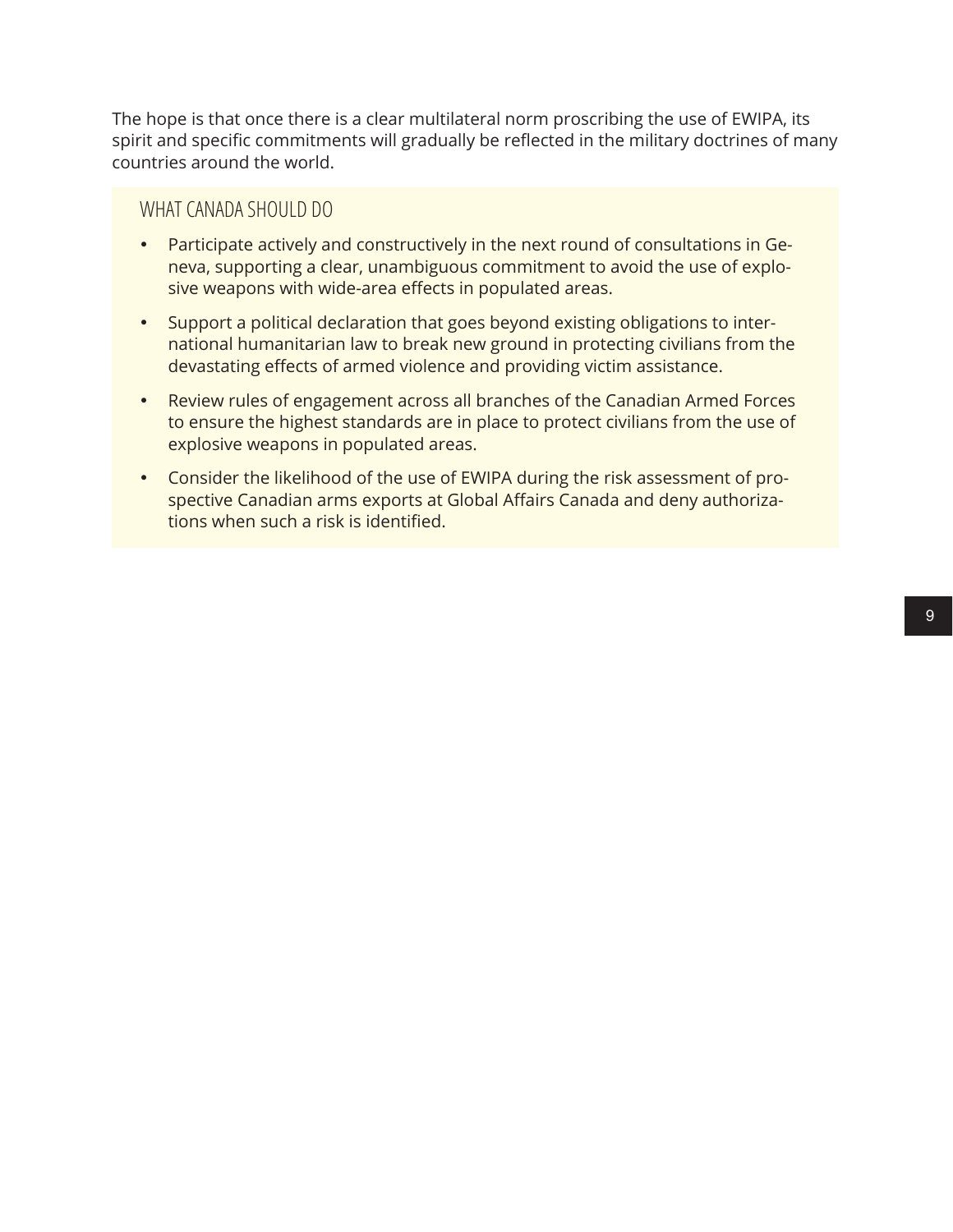The hope is that once there is a clear multilateral norm proscribing the use of EWIPA, its spirit and specific commitments will gradually be reflected in the military doctrines of many countries around the world.

### WHAT CANADA SHOULD DO

- Participate actively and constructively in the next round of consultations in Geneva, supporting a clear, unambiguous commitment to avoid the use of explosive weapons with wide-area effects in populated areas.
- Support a political declaration that goes beyond existing obligations to international humanitarian law to break new ground in protecting civilians from the devastating effects of armed violence and providing victim assistance.
- Review rules of engagement across all branches of the Canadian Armed Forces to ensure the highest standards are in place to protect civilians from the use of explosive weapons in populated areas.
- Consider the likelihood of the use of EWIPA during the risk assessment of prospective Canadian arms exports at Global Affairs Canada and deny authorizations when such a risk is identified.